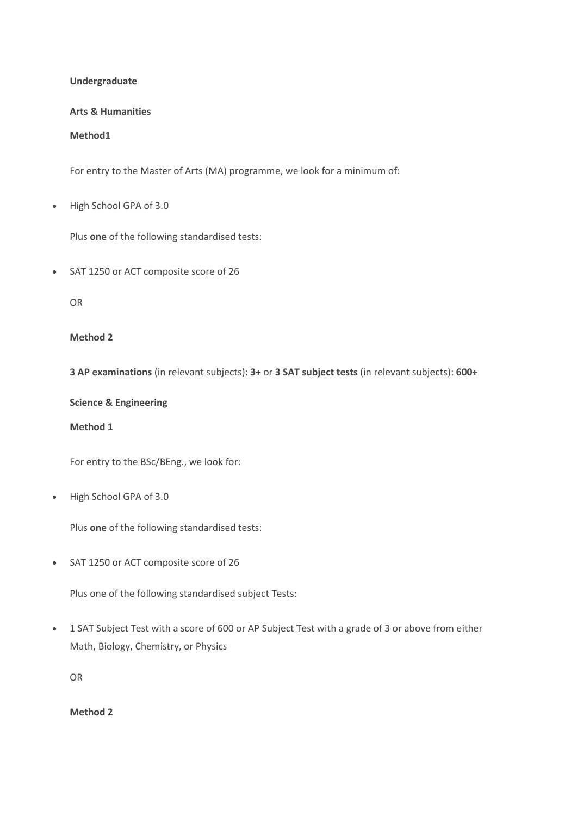### Undergraduate

### Arts & Humanities

Method1

For entry to the Master of Arts (MA) programme, we look for a minimum of:

High School GPA of 3.0

Plus one of the following standardised tests:

SAT 1250 or ACT composite score of 26

OR

## Method 2

3 AP examinations (in relevant subjects): 3+ or 3 SAT subject tests (in relevant subjects): 600+

Science & Engineering

Method 1

For entry to the BSc/BEng., we look for:

High School GPA of 3.0

Plus one of the following standardised tests:

SAT 1250 or ACT composite score of 26

Plus one of the following standardised subject Tests:

 1 SAT Subject Test with a score of 600 or AP Subject Test with a grade of 3 or above from either Math, Biology, Chemistry, or Physics

OR

Method 2